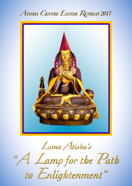



*<sup>L</sup>ama Atisha's <sup>L</sup>ama Atisha's <sup>L</sup>ama Atisha's "A Lamp for the Path "A Lamp for the Path "A Lamp for the Path to Enlightenment" to Enlightenment" to Enlightenment"*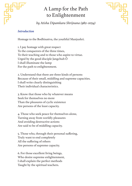# A Lamp for the Path to Enlightenment



*by Atisha Dipamkara Shrijnana (982–1054)*

### *Introduction*

Homage to the Bodhisattva, the youthful Manjushri.

1. I pay homage with great respect To the conquerors of the three times, To their teaching and to those who aspire to virtue. Urged by the good disciple Jangchub Ö I shall illuminate the lamp For the path to enlightenment.

2. Understand that there are three kinds of persons Because of their small, middling and supreme capacities. I shall write clearly distinguishing Their individual characteristics.

3. Know that those who by whatever means Seek for themselves no more Than the pleasures of cyclic existence Are persons of the least capacity.

4. Those who seek peace for themselves alone, Turning away from worldly pleasures And avoiding destructive actions Are said to be of middling capacity.

5. Those who, through their personal suffering, Truly want to end completely All the suffering of others Are persons of supreme capacity.

6. For those excellent living beings, Who desire supreme enlightenment, I shall explain the perfect methods Taught by the spiritual teachers.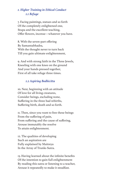### *1. Higher Training in Ethical Conduct 1.1 Refuge*

7. Facing paintings, statues and so forth Of the completely enlightened one, Stupa and the excellent teaching, Offer flowers, incense—whatever you have.

8. With the seven-part offering By Samantabhadra, With the thought never to turn back Till you gain ultimate enlightenment,

9. And with strong faith in the Three Jewels, Kneeling with one knee on the ground And your hands pressed together, First of all take refuge three times.

#### *1.2 Aspiring Bodhicitta*

10. Next, beginning with an attitude Of love for all living creatures, Consider beings, excluding none, Suffering in the three bad rebirths, Suffering birth, death and so forth.

11. Then, since you want to free these beings From the suffering of pain, From suffering and the cause of suffering, Arouse immutably the resolve To attain enlightenment.

12. The qualities of developing Such an aspiration are Fully explained by Maitreya In the Array of Trunks Sutra.

13. Having learned about the infinite benefits Of the intention to gain full enlightenment By reading this sutra or listening to a teacher, Arouse it repeatedly to make it steadfast.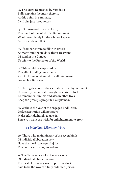14. The Sutra Requested by Viradatta Fully explains the merit therein. At this point, in summary, I will cite just three verses.

15. If it possessed physical form, The merit of the mind of enlightenment Would completely fill the whole of space And exceed even that.

16. If someone were to fill with jewels As many buddha fields as there are grains Of sand in the Ganges To offer to the Protector of the World,

17. This would be surpassed by The gift of folding one's hands And inclining one's mind to enlightenment, For such is limitless.

18. Having developed the aspiration for enlightenment, Constantly enhance it through concerted effort. To remember it in this and also in other lives, Keep the precepts properly as explained.

19. Without the vow of the engaged bodhicitta, Perfect aspiration will not grow. Make effort definitely to take it, Since you want the wish for enlightenment to grow.

#### *1.3 Individual Liberation Vows*

20. Those who maintain any of the seven kinds Of individual liberation vow Have the ideal [prerequisite] for The bodhisattva vow, not others.

21. The Tathagata spoke of seven kinds Of individual liberation vow. The best of these is glorious pure conduct, Said to be the vow of a fully ordained person.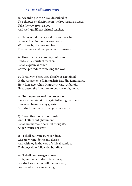#### *1.4 The Bodhisattva Vows*

22. According to the ritual described in The chapter on discipline in the Bodhisattva Stages, Take the vow from a good And well-qualified spiritual teacher.

23. Understand that a good spiritual teacher Is one skilled in the vow ceremony, Who lives by the vow and has The patience and compassion to bestow it.

24. However, in case you try but cannot Find such a spiritual teacher, I shall explain another Correct procedure for taking the vow.

25. I shall write here very clearly, as explained In the Ornament of Manjushri's Buddha Land Sutra, How, long ago, when Manjushri was Ambaraja, He aroused the intention to become enlightened.

26. "In the presence of the protectors, I arouse the intention to gain full enlightenment. I invite all beings as my guests And shall free them from cyclic existence.

27. "From this moment onwards Until I attain enlightenment, I shall not harbour harmful thoughts, Anger, avarice or envy.

28. "I shall cultivate pure conduct, Give up wrong-doing and desire And with joy in the vow of ethical conduct Train myself to follow the buddhas.

29. "I shall not be eager to reach Enlightenment in the quickest way, But shall stay behind till the very end, For the sake of a single being.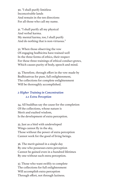30. "I shall purify limitless Inconceivable lands And remain in the ten directions For all those who call my name.

31. "I shall purify all my physical And verbal karma. My mental karma, too, I shall purify And do nothing that is non-virtuous."

32. When those observing the vow Of engaging bodhicitta have trained well In the three forms of ethics, their respect For these three trainings of ethical conduct grows, Which causes purity of body, speech and mind.

33. Therefore, through effort in the vow made by Bodhisattvas for pure, full enlightenment, The collections for complete enlightenment Will be thoroughly accomplished.

#### *2 Higher Training in Concentration 2.1 Extra Perception*

34. All buddhas say the cause for the completion Of the collections, whose nature is Merit and exalted wisdom, Is the development of extra perception.

35. Just as a bird with undeveloped Wings cannot fly in the sky, Those without the power of extra perception Cannot work for the good of living beings.

36. The merit gained in a single day By one who possesses extra perception Cannot be gained even in a hundred lifetimes By one without such extra perception.

37. Those who want swiftly to complete The collections for full enlightenment Will accomplish extra perception Through effort, not through laziness.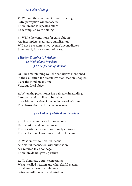#### *2.2 Calm Abiding*

38. Without the attainment of calm abiding, Extra perception will not occur. Therefore make repeated effort To accomplish calm abiding.

39. While the conditions for calm abiding Are incomplete, meditative stabilisation Will not be accomplished, even if one meditates Strenuously for thousands of years.

### *3 Higher Training in Wisdom 3.1 Method and Wisdom 3.1.1 Perfection of Wisdom*

40. Thus maintaining well the conditions mentioned In the Collection for Meditative Stabilisation Chapter, Place the mind on any one Virtuous focal object.

41. When the practitioner has gained calm abiding, Extra perception will also be gained, But without practice of the perfection of wisdom, The obstructions will not come to an end.

#### *3.1.2 Union of Method and Wisdom*

42. Thus, to eliminate all obstructions To liberation and omniscience, The practitioner should continually cultivate The perfection of wisdom with skilful means.

43. Wisdom without skilful means And skilful means, too, without wisdom Are referred to as bondage. Therefore do not give up either.

44. To eliminate doubts concerning What is called wisdom and what skilful means, I shall make clear the difference Between skilful means and wisdom.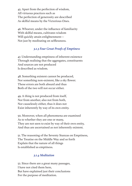45. Apart from the perfection of wisdom, All virtuous practices such as The perfection of generosity are described As skilful means by the Victorious Ones.

46. Whoever, under the influence of familiarity With skilful means, cultivates wisdom Will quickly attain enlightenment— Not just by meditating on selflessness.

### *3.1.3 Four Great Proofs of Emptiness*

47. Understanding emptiness of inherent existence Through realising that the aggregates, constituents And sources are not produced Is described as wisdom.

48. Something existent cannot be produced, Nor something non-existent, like a sky flower. These errors are both absurd and thus Both of the two will not occur either.

49. A thing is not produced from itself, Nor from another, also not from both, Nor causelessly either, thus it does not Exist inherently by way of its own entity.

50. Moreover, when all phenomena are examined As to whether they are one or many, They are not seen to exist by way of their own entity, And thus are ascertained as not inherently existent.

51. The reasoning of the Seventy Stanzas on Emptiness, The Treatise on the Middle Way and so forth Explain that the nature of all things Is established as emptiness.

#### *3.1.4 Meditation*

52. Since there are a great many passages, I have not cited them here, But have explained just their conclusions For the purpose of meditation.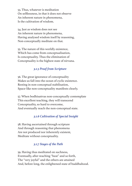53. Thus, whatever is meditation On selflessness, in that it does not observe An inherent nature in phenomena, Is the cultivation of wisdom.

54. Just as wisdom does not see An inherent nature in phenomena, Having analysed wisdom itself by reasoning, Non-conceptually meditate on that.

55. The nature of this worldly existence, Which has come from conceptualisation, Is conceptuality. Thus the elimination of Conceptuality is the highest state of nirvana.

## *3.1.5 Proof from Scripture*

56. The great ignorance of conceptuality Makes us fall into the ocean of cyclic existence. Resting in non-conceptual stabilisation, Space-like non-conceptuality manifests clearly.

57. When bodhisattvas non-conceptually contemplate This excellent teaching, they will transcend Conceptuality, so hard to overcome, And eventually reach the non-conceptual state.

#### *3.1.6 Cultivation of Special Insight*

58. Having ascertained through scripture And through reasoning that phenomena Are not produced nor inherently existent, Meditate without conceptuality.

#### *3.1.7 Stages of the Path*

59. Having thus meditated on suchness, Eventually, after reaching "heat" and so forth, The "very joyful" and the others are attained And, before long, the enlightened state of buddhahood.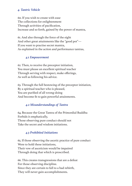#### *4. Tantric Vehicle*

60. If you wish to create with ease The collections for enlightenment Through activities of pacification, Increase and so forth, gained by the power of mantra,

61. And also through the force of the eight And other great attainments like the "good pot"— If you want to practise secret mantra, As explained in the action and performance tantras,

#### *4.1 Empowerment*

62. Then, to receive the preceptor initiation, You must please an excellent spiritual teacher Through serving with respect, make offerings, As well as following his advice.

63. Through the full bestowing of the preceptor initiation, By a spiritual teacher who is pleased, You are purified of all wrong-doing And become fit to gain powerful attainments.

#### *4.2 Misunderstandings of Tantra*

64. Because the Great Tantra of the Primordial Buddha Forbids it emphatically, Those observing pure conduct should not Take the secret and wisdom initiations.

#### *4.3 Prohibited Initiations*

65. If those observing the ascetic practice of pure conduct Were to hold these initiations, Their vow of asceticism would be impaired Through doing that which is proscribed.

66. This creates transgressions that are a defeat For those observing discipline. Since they are certain to fall to a bad rebirth, They will never gain accomplishments.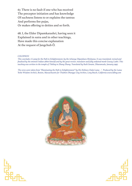67. There is no fault if one who has received The preceptor initiation and has knowledge Of suchness listens to or explains the tantras And performs fire pujas, Or makes offering to deities and so forth.

68. I, the Elder Dipamkarashri, having seen it Explained in sutra and in other teachings, Have made this concise explanation At the request of Jangchub Ö.

#### *COLOPHON*

*This concludes A Lamp for the Path to Enlightenment, by the Acharya Dipamkara Shrijnana. It was translated, revised and finalised by the eminent Indian abbot himself and by the great reviser, translator and fully ordained monk Geway Lodrö. This teaching was written in the temple of Thöling in Zhang Zhung. Translated by Ruth Sonam, Dharamsala, January 1997.*

*The verse were taken from "Illuminating the Path to Enlightenment" by His Holiness Dalai Lama / Produced by the Lama Yeshe Wisdom Archive, Boston, Massachusetts for Thubten Dhargye Ling Archive, Long Beach, California www.tdling.com*